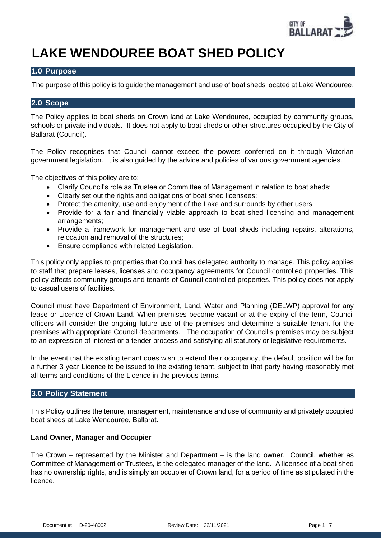

# **LAKE WENDOUREE BOAT SHED POLICY**

# **1.0 Purpose**

The purpose of this policy is to guide the management and use of boat sheds located at Lake Wendouree.

# **2.0 Scope**

The Policy applies to boat sheds on Crown land at Lake Wendouree, occupied by community groups, schools or private individuals. It does not apply to boat sheds or other structures occupied by the City of Ballarat (Council).

The Policy recognises that Council cannot exceed the powers conferred on it through Victorian government legislation. It is also guided by the advice and policies of various government agencies.

The objectives of this policy are to:

- Clarify Council's role as Trustee or Committee of Management in relation to boat sheds:
- Clearly set out the rights and obligations of boat shed licensees:
- Protect the amenity, use and enjoyment of the Lake and surrounds by other users;
- Provide for a fair and financially viable approach to boat shed licensing and management arrangements;
- Provide a framework for management and use of boat sheds including repairs, alterations, relocation and removal of the structures;
- Ensure compliance with related Legislation.

This policy only applies to properties that Council has delegated authority to manage. This policy applies to staff that prepare leases, licenses and occupancy agreements for Council controlled properties. This policy affects community groups and tenants of Council controlled properties. This policy does not apply to casual users of facilities.

Council must have Department of Environment, Land, Water and Planning (DELWP) approval for any lease or Licence of Crown Land. When premises become vacant or at the expiry of the term, Council officers will consider the ongoing future use of the premises and determine a suitable tenant for the premises with appropriate Council departments. The occupation of Council's premises may be subject to an expression of interest or a tender process and satisfying all statutory or legislative requirements.

In the event that the existing tenant does wish to extend their occupancy, the default position will be for a further 3 year Licence to be issued to the existing tenant, subject to that party having reasonably met all terms and conditions of the Licence in the previous terms.

# **3.0 Policy Statement**

This Policy outlines the tenure, management, maintenance and use of community and privately occupied boat sheds at Lake Wendouree, Ballarat.

# **Land Owner, Manager and Occupier**

The Crown – represented by the Minister and Department – is the land owner. Council, whether as Committee of Management or Trustees, is the delegated manager of the land. A licensee of a boat shed has no ownership rights, and is simply an occupier of Crown land, for a period of time as stipulated in the licence.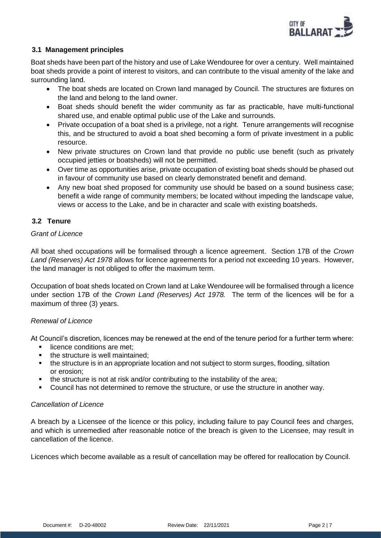

# **3.1 Management principles**

Boat sheds have been part of the history and use of Lake Wendouree for over a century. Well maintained boat sheds provide a point of interest to visitors, and can contribute to the visual amenity of the lake and surrounding land.

- The boat sheds are located on Crown land managed by Council. The structures are fixtures on the land and belong to the land owner.
- Boat sheds should benefit the wider community as far as practicable, have multi-functional shared use, and enable optimal public use of the Lake and surrounds.
- Private occupation of a boat shed is a privilege, not a right. Tenure arrangements will recognise this, and be structured to avoid a boat shed becoming a form of private investment in a public resource.
- New private structures on Crown land that provide no public use benefit (such as privately occupied jetties or boatsheds) will not be permitted.
- Over time as opportunities arise, private occupation of existing boat sheds should be phased out in favour of community use based on clearly demonstrated benefit and demand.
- Any new boat shed proposed for community use should be based on a sound business case; benefit a wide range of community members; be located without impeding the landscape value, views or access to the Lake, and be in character and scale with existing boatsheds.

# **3.2 Tenure**

# *Grant of Licence*

All boat shed occupations will be formalised through a licence agreement. Section 17B of the *Crown Land (Reserves) Act 1978* allows for licence agreements for a period not exceeding 10 years. However, the land manager is not obliged to offer the maximum term.

Occupation of boat sheds located on Crown land at Lake Wendouree will be formalised through a licence under section 17B of the *Crown Land (Reserves) Act 1978.* The term of the licences will be for a maximum of three (3) years.

# *Renewal of Licence*

At Council's discretion, licences may be renewed at the end of the tenure period for a further term where:

- licence conditions are met:
- the structure is well maintained:
- the structure is in an appropriate location and not subject to storm surges, flooding, siltation or erosion;
- the structure is not at risk and/or contributing to the instability of the area;
- Council has not determined to remove the structure, or use the structure in another way.

# *Cancellation of Licence*

A breach by a Licensee of the licence or this policy, including failure to pay Council fees and charges, and which is unremedied after reasonable notice of the breach is given to the Licensee, may result in cancellation of the licence.

Licences which become available as a result of cancellation may be offered for reallocation by Council.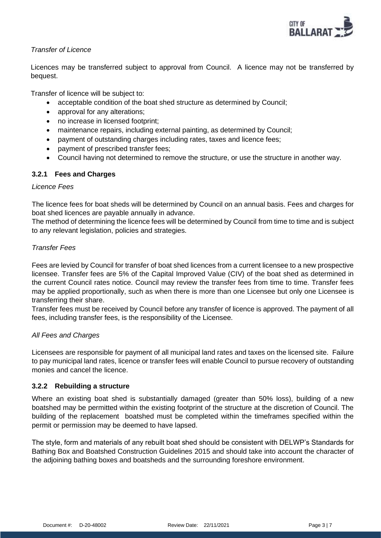

# *Transfer of Licence*

Licences may be transferred subject to approval from Council. A licence may not be transferred by bequest.

Transfer of licence will be subject to:

- acceptable condition of the boat shed structure as determined by Council;
- approval for any alterations;
- no increase in licensed footprint;
- maintenance repairs, including external painting, as determined by Council;
- payment of outstanding charges including rates, taxes and licence fees;
- payment of prescribed transfer fees;
- Council having not determined to remove the structure, or use the structure in another way.

# **3.2.1 Fees and Charges**

#### *Licence Fees*

The licence fees for boat sheds will be determined by Council on an annual basis. Fees and charges for boat shed licences are payable annually in advance.

The method of determining the licence fees will be determined by Council from time to time and is subject to any relevant legislation, policies and strategies.

# *Transfer Fees*

Fees are levied by Council for transfer of boat shed licences from a current licensee to a new prospective licensee. Transfer fees are 5% of the Capital Improved Value (CIV) of the boat shed as determined in the current Council rates notice. Council may review the transfer fees from time to time. Transfer fees may be applied proportionally, such as when there is more than one Licensee but only one Licensee is transferring their share.

Transfer fees must be received by Council before any transfer of licence is approved. The payment of all fees, including transfer fees, is the responsibility of the Licensee.

# *All Fees and Charges*

Licensees are responsible for payment of all municipal land rates and taxes on the licensed site. Failure to pay municipal land rates, licence or transfer fees will enable Council to pursue recovery of outstanding monies and cancel the licence.

# **3.2.2 Rebuilding a structure**

Where an existing boat shed is substantially damaged (greater than 50% loss), building of a new boatshed may be permitted within the existing footprint of the structure at the discretion of Council. The building of the replacement boatshed must be completed within the timeframes specified within the permit or permission may be deemed to have lapsed.

The style, form and materials of any rebuilt boat shed should be consistent with DELWP's Standards for Bathing Box and Boatshed Construction Guidelines 2015 and should take into account the character of the adjoining bathing boxes and boatsheds and the surrounding foreshore environment.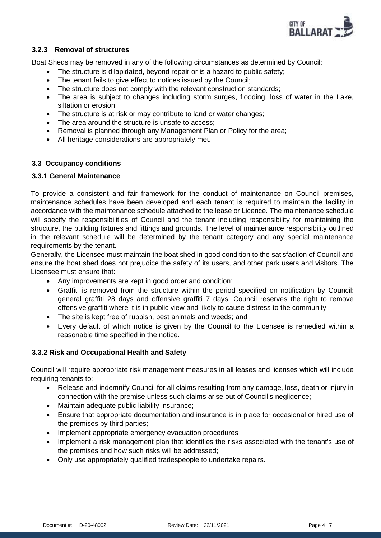

# **3.2.3 Removal of structures**

Boat Sheds may be removed in any of the following circumstances as determined by Council:

- The structure is dilapidated, beyond repair or is a hazard to public safety;
- The tenant fails to give effect to notices issued by the Council;
- The structure does not comply with the relevant construction standards;
- The area is subject to changes including storm surges, flooding, loss of water in the Lake, siltation or erosion;
- The structure is at risk or may contribute to land or water changes;
- The area around the structure is unsafe to access;
- Removal is planned through any Management Plan or Policy for the area:
- All heritage considerations are appropriately met.

#### **3.3 Occupancy conditions**

#### **3.3.1 General Maintenance**

To provide a consistent and fair framework for the conduct of maintenance on Council premises, maintenance schedules have been developed and each tenant is required to maintain the facility in accordance with the maintenance schedule attached to the lease or Licence. The maintenance schedule will specify the responsibilities of Council and the tenant including responsibility for maintaining the structure, the building fixtures and fittings and grounds. The level of maintenance responsibility outlined in the relevant schedule will be determined by the tenant category and any special maintenance requirements by the tenant.

Generally, the Licensee must maintain the boat shed in good condition to the satisfaction of Council and ensure the boat shed does not prejudice the safety of its users, and other park users and visitors. The Licensee must ensure that:

- Any improvements are kept in good order and condition;
- Graffiti is removed from the structure within the period specified on notification by Council: general graffiti 28 days and offensive graffiti 7 days. Council reserves the right to remove offensive graffiti where it is in public view and likely to cause distress to the community;
- The site is kept free of rubbish, pest animals and weeds; and
- Every default of which notice is given by the Council to the Licensee is remedied within a reasonable time specified in the notice.

# **3.3.2 Risk and Occupational Health and Safety**

Council will require appropriate risk management measures in all leases and licenses which will include requiring tenants to:

- Release and indemnify Council for all claims resulting from any damage, loss, death or injury in connection with the premise unless such claims arise out of Council's negligence;
- Maintain adequate public liability insurance;
- Ensure that appropriate documentation and insurance is in place for occasional or hired use of the premises by third parties;
- Implement appropriate emergency evacuation procedures
- Implement a risk management plan that identifies the risks associated with the tenant's use of the premises and how such risks will be addressed;
- Only use appropriately qualified tradespeople to undertake repairs.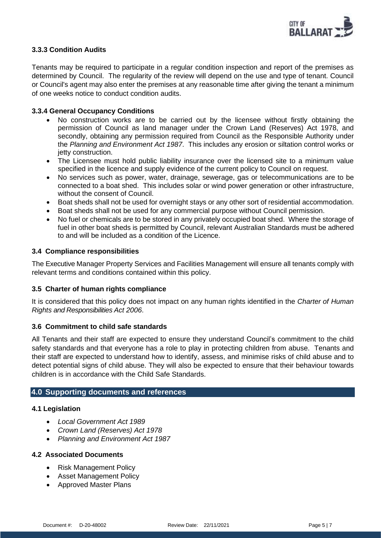

# **3.3.3 Condition Audits**

Tenants may be required to participate in a regular condition inspection and report of the premises as determined by Council. The regularity of the review will depend on the use and type of tenant. Council or Council's agent may also enter the premises at any reasonable time after giving the tenant a minimum of one weeks notice to conduct condition audits.

#### **3.3.4 General Occupancy Conditions**

- No construction works are to be carried out by the licensee without firstly obtaining the permission of Council as land manager under the Crown Land (Reserves) Act 1978, and secondly, obtaining any permission required from Council as the Responsible Authority under the *Planning and Environment Act 1987*. This includes any erosion or siltation control works or jetty construction.
- The Licensee must hold public liability insurance over the licensed site to a minimum value specified in the licence and supply evidence of the current policy to Council on request.
- No services such as power, water, drainage, sewerage, gas or telecommunications are to be connected to a boat shed. This includes solar or wind power generation or other infrastructure, without the consent of Council.
- Boat sheds shall not be used for overnight stays or any other sort of residential accommodation.
- Boat sheds shall not be used for any commercial purpose without Council permission.
- No fuel or chemicals are to be stored in any privately occupied boat shed. Where the storage of fuel in other boat sheds is permitted by Council, relevant Australian Standards must be adhered to and will be included as a condition of the Licence.

#### **3.4 Compliance responsibilities**

The Executive Manager Property Services and Facilities Management will ensure all tenants comply with relevant terms and conditions contained within this policy.

#### **3.5 Charter of human rights compliance**

It is considered that this policy does not impact on any human rights identified in the *Charter of Human Rights and Responsibilities Act 2006*.

#### **3.6 Commitment to child safe standards**

All Tenants and their staff are expected to ensure they understand Council's commitment to the child safety standards and that everyone has a role to play in protecting children from abuse. Tenants and their staff are expected to understand how to identify, assess, and minimise risks of child abuse and to detect potential signs of child abuse. They will also be expected to ensure that their behaviour towards children is in accordance with the Child Safe Standards.

# **4.0 Supporting documents and references**

# **4.1 Legislation**

- *Local Government Act 1989*
- *Crown Land (Reserves) Act 1978*
- *Planning and Environment Act 1987*

#### **4.2 Associated Documents**

- Risk Management Policy
- Asset Management Policy
- Approved Master Plans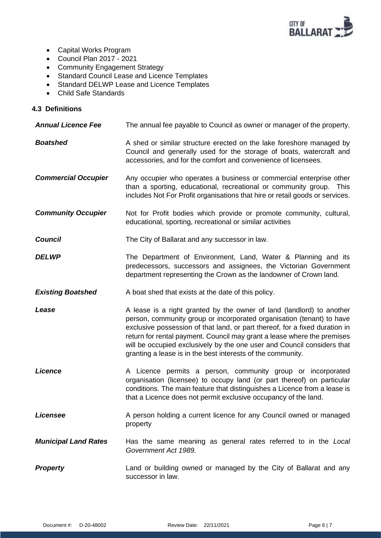

- Capital Works Program
- Council Plan 2017 2021
- Community Engagement Strategy
- Standard Council Lease and Licence Templates
- Standard DELWP Lease and Licence Templates
- Child Safe Standards

# **4.3 Definitions**

| <b>Annual Licence Fee</b>   | The annual fee payable to Council as owner or manager of the property.                                                                                                                                                                                                                                                                                                    |
|-----------------------------|---------------------------------------------------------------------------------------------------------------------------------------------------------------------------------------------------------------------------------------------------------------------------------------------------------------------------------------------------------------------------|
| <b>Boatshed</b>             | A shed or similar structure erected on the lake foreshore managed by<br>Council and generally used for the storage of boats, watercraft and<br>accessories, and for the comfort and convenience of licensees.                                                                                                                                                             |
| <b>Commercial Occupier</b>  | Any occupier who operates a business or commercial enterprise other<br>than a sporting, educational, recreational or community group. This<br>includes Not For Profit organisations that hire or retail goods or services.                                                                                                                                                |
| <b>Community Occupier</b>   | Not for Profit bodies which provide or promote community, cultural,<br>educational, sporting, recreational or similar activities                                                                                                                                                                                                                                          |
| <b>Council</b>              | The City of Ballarat and any successor in law.                                                                                                                                                                                                                                                                                                                            |
| <b>DELWP</b>                | The Department of Environment, Land, Water & Planning and its<br>predecessors, successors and assignees, the Victorian Government<br>department representing the Crown as the landowner of Crown land.                                                                                                                                                                    |
| <b>Existing Boatshed</b>    | A boat shed that exists at the date of this policy.                                                                                                                                                                                                                                                                                                                       |
| Lease                       | A lease is a right granted by the owner of land (landlord) to another                                                                                                                                                                                                                                                                                                     |
|                             | person, community group or incorporated organisation (tenant) to have<br>exclusive possession of that land, or part thereof, for a fixed duration in<br>return for rental payment. Council may grant a lease where the premises<br>will be occupied exclusively by the one user and Council considers that<br>granting a lease is in the best interests of the community. |
| <b>Licence</b>              | A Licence permits a person, community group or incorporated<br>organisation (licensee) to occupy land (or part thereof) on particular<br>conditions. The main feature that distinguishes a Licence from a lease is<br>that a Licence does not permit exclusive occupancy of the land.                                                                                     |
| Licensee                    | A person holding a current licence for any Council owned or managed<br>property                                                                                                                                                                                                                                                                                           |
| <b>Municipal Land Rates</b> | Has the same meaning as general rates referred to in the Local<br>Government Act 1989.                                                                                                                                                                                                                                                                                    |